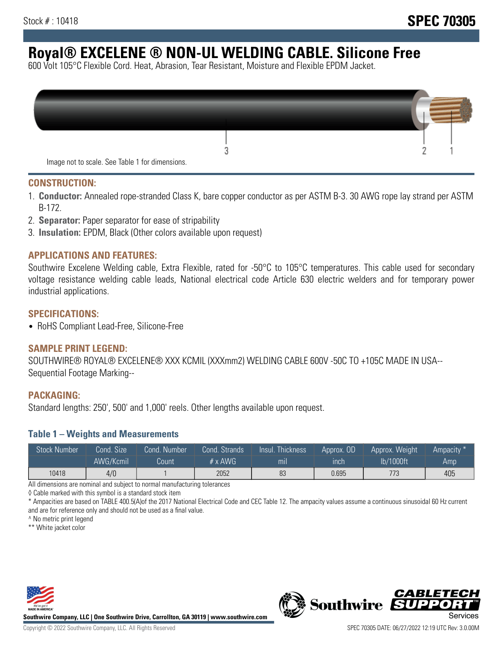# **Royal® EXCELENE ® NON-UL WELDING CABLE. Silicone Free**

600 Volt 105°C Flexible Cord. Heat, Abrasion, Tear Resistant, Moisture and Flexible EPDM Jacket.

| Image not to scale. See Table 1 for dimensions. |  |
|-------------------------------------------------|--|

#### **CONSTRUCTION:**

- 1. **Conductor:** Annealed rope-stranded Class K, bare copper conductor as per ASTM B-3. 30 AWG rope lay strand per ASTM B-172.
- 2. **Separator:** Paper separator for ease of stripability
- 3. **Insulation:** EPDM, Black (Other colors available upon request)

#### **APPLICATIONS AND FEATURES:**

Southwire Excelene Welding cable, Extra Flexible, rated for -50°C to 105°C temperatures. This cable used for secondary voltage resistance welding cable leads, National electrical code Article 630 electric welders and for temporary power industrial applications.

#### **SPECIFICATIONS:**

• RoHS Compliant Lead-Free, Silicone-Free

## **SAMPLE PRINT LEGEND:**

SOUTHWIRE® ROYAL® EXCELENE® XXX KCMIL (XXXmm2) WELDING CABLE 600V -50C TO +105C MADE IN USA-- Sequential Footage Marking--

#### **PACKAGING:**

Standard lengths: 250', 500' and 1,000' reels. Other lengths available upon request.

#### **Table 1 – Weights and Measurements**

| <b>Stock Number</b> | Cond. Size' | Cond. Number | Cond. Strands   | /Insul.<br>:Thickness' | Approx. OD | Approx. Weight | Ampacity * |
|---------------------|-------------|--------------|-----------------|------------------------|------------|----------------|------------|
|                     | AWG/Kcmil   | Count        | $# \times$ AWG. | m <sub>l</sub>         | inch       | lb/1000ft      | Amp        |
| 10418               | 4/0         |              | 2052            | 83                     | 0.695      | 773            | 405        |

All dimensions are nominal and subject to normal manufacturing tolerances

◊ Cable marked with this symbol is a standard stock item

\* Ampacities are based on TABLE 400.5(A)of the 2017 National Electrical Code and CEC Table 12. The ampacity values assume a continuous sinusoidal 60 Hz current and are for reference only and should not be used as a final value.

^ No metric print legend

\*\* White jacket color



**Southwire Company, LLC | One Southwire Drive, Carrollton, GA 30119 | www.southwire.com**



*CABLETE*